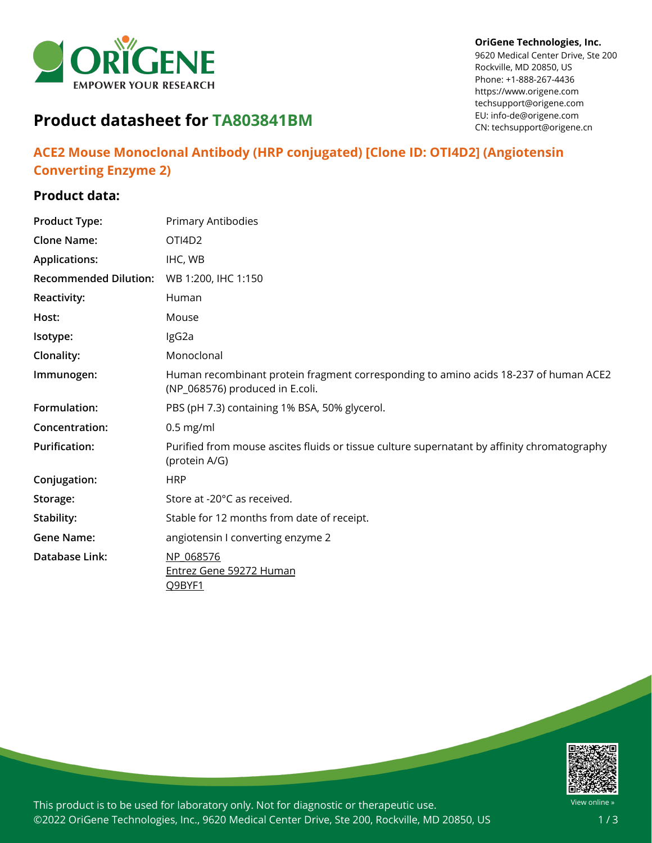

#### **OriGene Technologies, Inc.**

9620 Medical Center Drive, Ste 200 Rockville, MD 20850, US Phone: +1-888-267-4436 https://www.origene.com techsupport@origene.com EU: info-de@origene.com CN: techsupport@origene.cn

# **Product datasheet for TA803841BM**

## **ACE2 Mouse Monoclonal Antibody (HRP conjugated) [Clone ID: OTI4D2] (Angiotensin Converting Enzyme 2)**

## **Product data:**

| <b>Product Type:</b>         | Primary Antibodies                                                                                                      |
|------------------------------|-------------------------------------------------------------------------------------------------------------------------|
| <b>Clone Name:</b>           | OTI4D <sub>2</sub>                                                                                                      |
| <b>Applications:</b>         | IHC, WB                                                                                                                 |
| <b>Recommended Dilution:</b> | WB 1:200, IHC 1:150                                                                                                     |
| <b>Reactivity:</b>           | Human                                                                                                                   |
| Host:                        | Mouse                                                                                                                   |
| Isotype:                     | IgG2a                                                                                                                   |
| Clonality:                   | Monoclonal                                                                                                              |
| Immunogen:                   | Human recombinant protein fragment corresponding to amino acids 18-237 of human ACE2<br>(NP_068576) produced in E.coli. |
| Formulation:                 | PBS (pH 7.3) containing 1% BSA, 50% glycerol.                                                                           |
| Concentration:               | $0.5$ mg/ml                                                                                                             |
| <b>Purification:</b>         | Purified from mouse ascites fluids or tissue culture supernatant by affinity chromatography<br>(protein A/G)            |
| Conjugation:                 | <b>HRP</b>                                                                                                              |
| Storage:                     | Store at -20°C as received.                                                                                             |
| Stability:                   | Stable for 12 months from date of receipt.                                                                              |
| <b>Gene Name:</b>            | angiotensin I converting enzyme 2                                                                                       |
| <b>Database Link:</b>        | NP 068576                                                                                                               |
|                              | <b>Entrez Gene 59272 Human</b><br>Q9BYF1                                                                                |



This product is to be used for laboratory only. Not for diagnostic or therapeutic use. ©2022 OriGene Technologies, Inc., 9620 Medical Center Drive, Ste 200, Rockville, MD 20850, US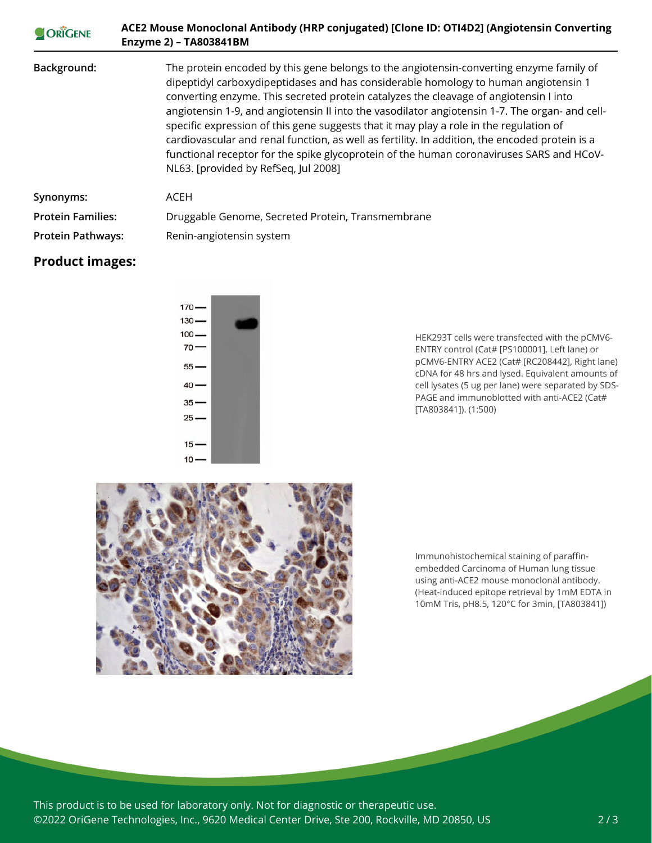| ORIGENE                  | ACE2 Mouse Monoclonal Antibody (HRP conjugated) [Clone ID: OTI4D2] (Angiotensin Converting<br>Enzyme 2) - TA803841BM                                                                                                                                                                                                                                                                                                                                                                                                                                                                                                                                                                                      |
|--------------------------|-----------------------------------------------------------------------------------------------------------------------------------------------------------------------------------------------------------------------------------------------------------------------------------------------------------------------------------------------------------------------------------------------------------------------------------------------------------------------------------------------------------------------------------------------------------------------------------------------------------------------------------------------------------------------------------------------------------|
| Background:              | The protein encoded by this gene belongs to the angiotensin-converting enzyme family of<br>dipeptidyl carboxydipeptidases and has considerable homology to human angiotensin 1<br>converting enzyme. This secreted protein catalyzes the cleavage of angiotensin I into<br>angiotensin 1-9, and angiotensin II into the vasodilator angiotensin 1-7. The organ- and cell-<br>specific expression of this gene suggests that it may play a role in the regulation of<br>cardiovascular and renal function, as well as fertility. In addition, the encoded protein is a<br>functional receptor for the spike glycoprotein of the human coronaviruses SARS and HCoV-<br>NL63. [provided by RefSeq, Jul 2008] |
| Synonyms:                | <b>ACEH</b>                                                                                                                                                                                                                                                                                                                                                                                                                                                                                                                                                                                                                                                                                               |
| <b>Protein Families:</b> | Druggable Genome, Secreted Protein, Transmembrane                                                                                                                                                                                                                                                                                                                                                                                                                                                                                                                                                                                                                                                         |
| <b>Protein Pathways:</b> | Renin-angiotensin system                                                                                                                                                                                                                                                                                                                                                                                                                                                                                                                                                                                                                                                                                  |

### **Product images:**



HEK293T cells were transfected with the pCMV6- ENTRY control (Cat# [PS100001], Left lane) or pCMV6-ENTRY ACE2 (Cat# [RC208442], Right lane) cDNA for 48 hrs and lysed. Equivalent amounts of cell lysates (5 ug per lane) were separated by SDS-PAGE and immunoblotted with anti-ACE2 (Cat# [TA803841]). (1:500)



Immunohistochemical staining of paraffinembedded Carcinoma of Human lung tissue using anti-ACE2 mouse monoclonal antibody. (Heat-induced epitope retrieval by 1mM EDTA in 10mM Tris, pH8.5, 120°C for 3min, [TA803841])

This product is to be used for laboratory only. Not for diagnostic or therapeutic use. ©2022 OriGene Technologies, Inc., 9620 Medical Center Drive, Ste 200, Rockville, MD 20850, US